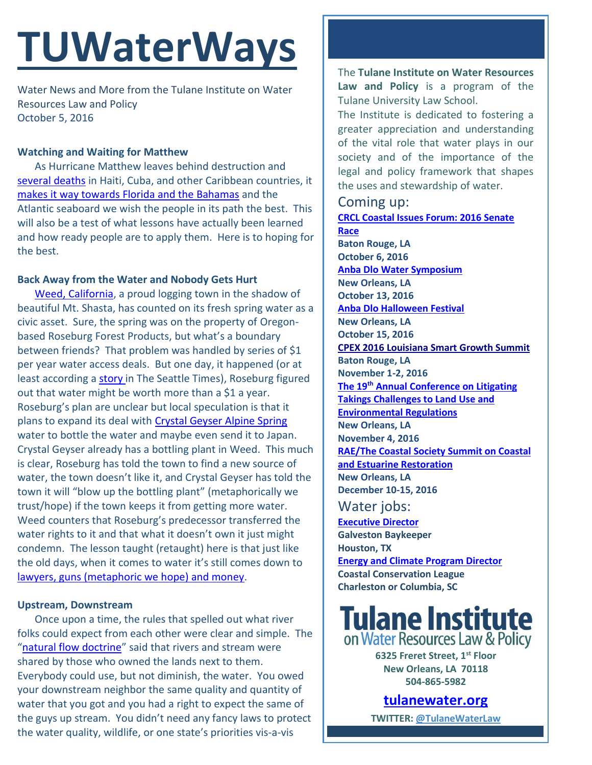# **TUWaterWays**

Water News and More from the Tulane Institute on Water Resources Law and Policy October 5, 2016

#### **Watching and Waiting for Matthew**

As Hurricane Matthew leaves behind destruction and [several](https://weather.com/news/news/hurricane-matthew-haiti-latest-news) deaths in Haiti, Cuba, and other Caribbean countries, it [makes it way towards](http://www.spaghettimodels.com/) Florida and the Bahamas and the Atlantic seaboard we wish the people in its path the best. This will also be a test of what lessons have actually been learned and how ready people are to apply them. Here is to hoping for the best.

### **Back Away from the Water and Nobody Gets Hurt**

Weed, [California,](http://weedca.govoffice3.com/) a proud logging town in the shadow of beautiful Mt. Shasta, has counted on its fresh spring water as a civic asset. Sure, the spring was on the property of Oregonbased Roseburg Forest Products, but what's a boundary between friends? That problem was handled by series of \$1 per year water access deals. But one day, it happened (or at least according a [story](http://www.seattletimes.com/nation-world/get-your-own-water-oregon-timber-firm-tells-california-town/) in The Seattle Times), Roseburg figured out that water might be worth more than a \$1 a year. Roseburg's plan are unclear but local speculation is that it plans to expand its deal with [Crystal Geyser Alpine Spring](http://www.crystalgeyserasw.com/story.html) water to bottle the water and maybe even send it to Japan. Crystal Geyser already has a bottling plant in Weed. This much is clear, Roseburg has told the town to find a new source of water, the town doesn't like it, and Crystal Geyser has told the town it will "blow up the bottling plant" (metaphorically we trust/hope) if the town keeps it from getting more water. Weed counters that Roseburg's predecessor transferred the water rights to it and that what it doesn't own it just might condemn. The lesson taught (retaught) here is that just like the old days, when it comes to water it's still comes down to [lawyers, guns \(metaphoric we hope\) and money.](https://www.bing.com/videos/search?q=lawyers+guns+and+money&&view=detail&mid=9F9DA82E68F03BA638689F9DA82E68F03BA63868&FORM=VRDGAR)

#### **Upstream, Downstream**

Once upon a time, the rules that spelled out what river folks could expect from each other were clear and simple. The "[natural flow doctrine](https://www.britannica.com/topic/riparian-right#ref96878)" said that rivers and stream were shared by those who owned the lands next to them. Everybody could use, but not diminish, the water. You owed your downstream neighbor the same quality and quantity of water that you got and you had a right to expect the same of the guys up stream. You didn't need any fancy laws to protect the water quality, wildlife, or one state's priorities vis-a-vis

The **Tulane Institute on Water Resources Law and Policy** is a program of the Tulane University Law School.

The Institute is dedicated to fostering a greater appreciation and understanding of the vital role that water plays in our society and of the importance of the legal and policy framework that shapes the uses and stewardship of water.

## Coming up:

**[CRCL Coastal Issues Forum: 2016 Senate](http://crcl.org/programs/restoration-policy/2016-senate-race.html?bblinkid=25274655&bbemailid=1975752&bbejrid=132622062)  [Race](http://crcl.org/programs/restoration-policy/2016-senate-race.html?bblinkid=25274655&bbemailid=1975752&bbejrid=132622062) Baton Rouge, LA October 6, 2016 Anba Dlo [Water Symposium](http://www.anbadlofestival.org/water-symposium-1) New Orleans, LA October 13, 2016 [Anba Dlo Halloween](http://www.anbadlofestival.org/) Festival New Orleans, LA October 15, 2016 [CPEX 2016 Louisiana Smart Growth Summit](http://summit.cpex.org/) Baton Rouge, LA November 1-2, 2016 The 19th [Annual Conference on Litigating](http://www.vermontlaw.edu/news-and-events/events/takings-conference)  [Takings Challenges to Land Use and](http://www.vermontlaw.edu/news-and-events/events/takings-conference)  [Environmental Regulations](http://www.vermontlaw.edu/news-and-events/events/takings-conference) New Orleans, LA November 4, 2016 [RAE/The Coastal Society Summit on Coastal](https://www.estuaries.org/Summit)  [and Estuarine Restoration](https://www.estuaries.org/Summit) New Orleans, LA December 10-15, 2016**

## Water jobs:

**[Executive Director](http://www.galvestonbaykeeper.org/job_openings) Galveston Baykeeper Houston, TX [Energy and Climate Program Director](http://coastalconservationleague.org/about/employment-opportunities/energy-climate-program-director/) Coastal Conservation League Charleston or Columbia, SC**

## **Tulane Institute**<br>on Water Resources Law & Policy

**6325 Freret Street, 1st Floor New Orleans, LA 70118 504-865-5982** 

**[tulanewater.org](file:///C:/Users/waterlaw/Downloads/tulanewater.org)**

**TWITTER: [@TulaneWaterLaw](http://www.twitter.com/TulaneWaterLaw)**